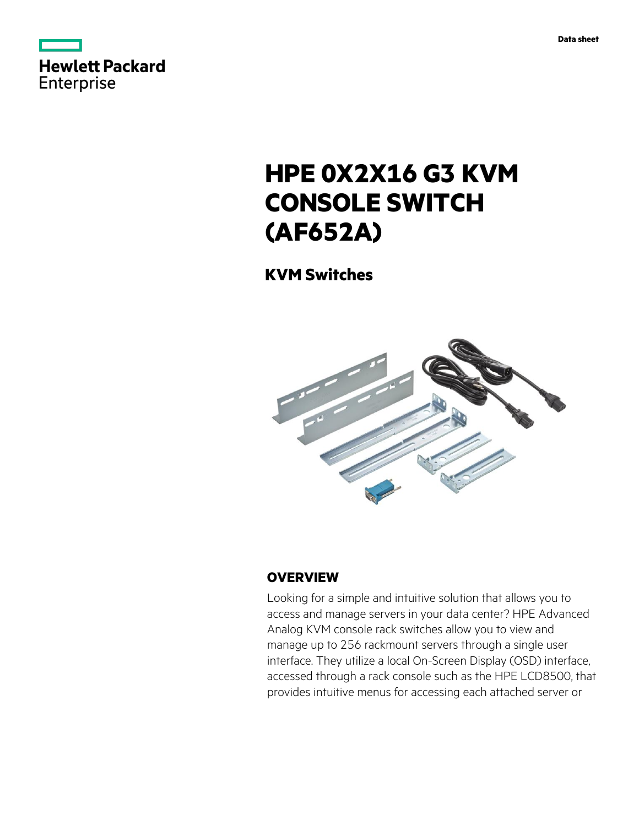|            | Hewlett Packard |
|------------|-----------------|
|            |                 |
| Enterprise |                 |

# **HPE 0X2X16 G3 KVM CONSOLE SWITCH (AF652A)**

**KVM Switches**



## **OVERVIEW**

Looking for a simple and intuitive solution that allows you to access and manage servers in your data center? HPE Advanced Analog KVM console rack switches allow you to view and manage up to 256 rackmount servers through a single user interface. They utilize a local On-Screen Display (OSD) interface, accessed through a rack console such as the HPE LCD8500, that provides intuitive menus for accessing each attached server or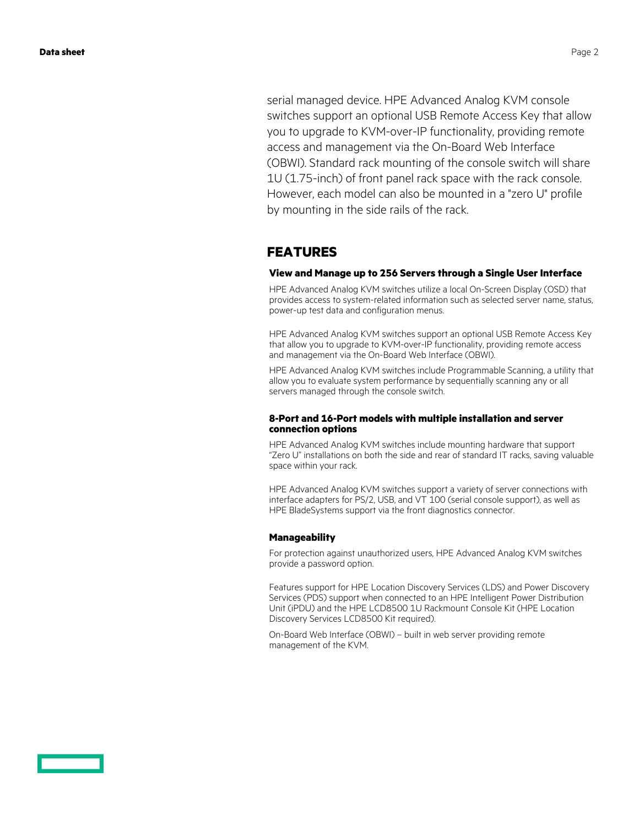serial managed device. HPE Advanced Analog KVM console switches support an optional USB Remote Access Key that allow you to upgrade to KVM-over-IP functionality, providing remote access and management via the On-Board Web Interface (OBWI). Standard rack mounting of the console switch will share 1U (1.75-inch) of front panel rack space with the rack console. However, each model can also be mounted in a "zero U" profile by mounting in the side rails of the rack.

## **FEATURES**

### **View and Manage up to 256 Servers through a Single User Interface**

HPE Advanced Analog KVM switches utilize a local On-Screen Display (OSD) that provides access to system-related information such as selected server name, status, power-up test data and configuration menus.

HPE Advanced Analog KVM switches support an optional USB Remote Access Key that allow you to upgrade to KVM-over-IP functionality, providing remote access and management via the On-Board Web Interface (OBWI).

HPE Advanced Analog KVM switches include Programmable Scanning, a utility that allow you to evaluate system performance by sequentially scanning any or all servers managed through the console switch.

### **8-Port and 16-Port models with multiple installation and server connection options**

HPE Advanced Analog KVM switches include mounting hardware that support "Zero U" installations on both the side and rear of standard IT racks, saving valuable space within your rack.

HPE Advanced Analog KVM switches support a variety of server connections with interface adapters for PS/2, USB, and VT 100 (serial console support), as well as HPE BladeSystems support via the front diagnostics connector.

### **Manageability**

For protection against unauthorized users, HPE Advanced Analog KVM switches provide a password option.

Features support for HPE Location Discovery Services (LDS) and Power Discovery Services (PDS) support when connected to an HPE Intelligent Power Distribution Unit (iPDU) and the HPE LCD8500 1U Rackmount Console Kit (HPE Location Discovery Services LCD8500 Kit required).

On-Board Web Interface (OBWI) – built in web server providing remote management of the KVM.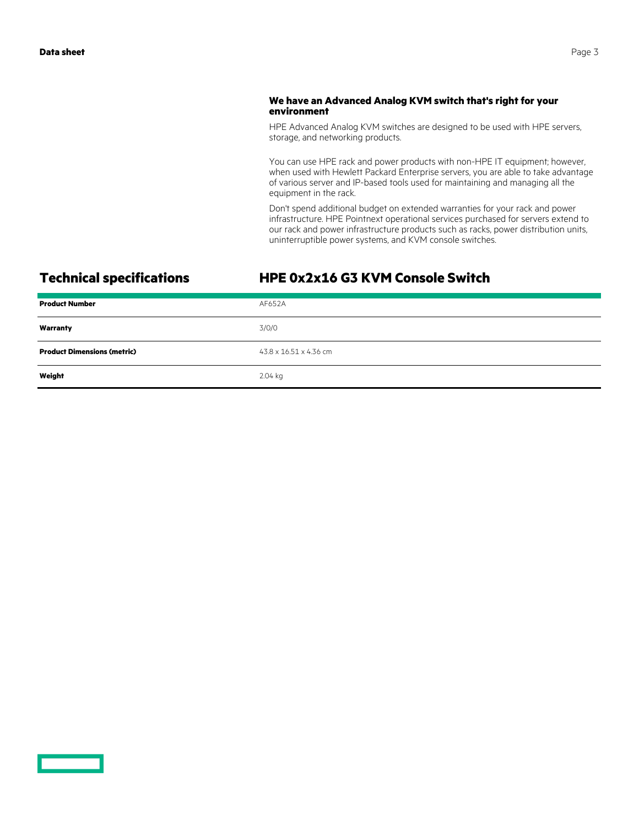### **We have an Advanced Analog KVM switch that's right for your environment**

HPE Advanced Analog KVM switches are designed to be used with HPE servers, storage, and networking products.

You can use HPE rack and power products with non-HPE IT equipment; however, when used with Hewlett Packard Enterprise servers, you are able to take advantage of various server and IP-based tools used for maintaining and managing all the equipment in the rack.

Don't spend additional budget on extended warranties for your rack and power infrastructure. HPE Pointnext operational services purchased for servers extend to our rack and power infrastructure products such as racks, power distribution units, uninterruptible power systems, and KVM console switches.

## **Technical specifications HPE 0x2x16 G3 KVM Console Switch**

| <b>Product Number</b>              | AF652A                 |
|------------------------------------|------------------------|
| Warranty                           | 3/0/0                  |
| <b>Product Dimensions (metric)</b> | 43.8 x 16.51 x 4.36 cm |
| Weight                             | 2.04 kg                |